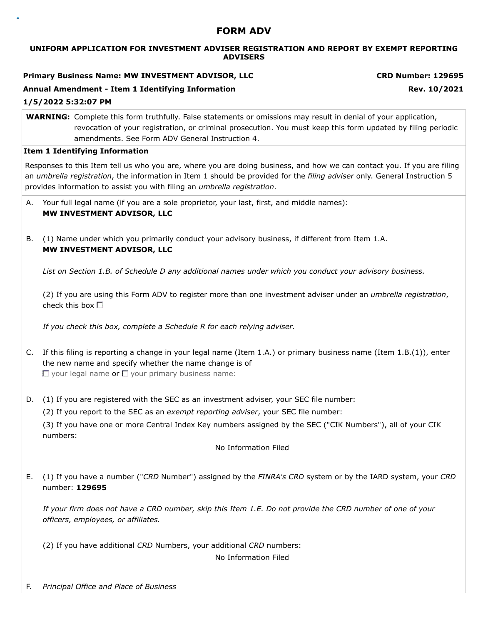## **FORM ADV**

#### **UNIFORM APPLICATION FOR INVESTMENT ADVISER REGISTRATION AND REPORT BY EXEMPT REPORTING ADVISERS**

**Primary Business Name: MW INVESTMENT ADVISOR, LLC CRD Number: 129695**

## **Annual Amendment - Item 1 Identifying Information Rev. 10/2021**

**1/5/2022 5:32:07 PM**

**WARNING:** Complete this form truthfully. False statements or omissions may result in denial of your application, revocation of your registration, or criminal prosecution. You must keep this form updated by filing periodic amendments. See Form ADV General Instruction 4.

#### **Item 1 Identifying Information**

Responses to this Item tell us who you are, where you are doing business, and how we can contact you. If you are filing an *umbrella registration*, the information in Item 1 should be provided for the *filing adviser* only. General Instruction 5 provides information to assist you with filing an *umbrella registration*.

- A. Your full legal name (if you are a sole proprietor, your last, first, and middle names): **MW INVESTMENT ADVISOR, LLC**
- B. (1) Name under which you primarily conduct your advisory business, if different from Item 1.A. **MW INVESTMENT ADVISOR, LLC**

*List on Section 1.B. of Schedule D any additional names under which you conduct your advisory business.*

(2) If you are using this Form ADV to register more than one investment adviser under an *umbrella registration*, check this box  $\Box$ 

*If you check this box, complete a Schedule R for each relying adviser.*

- C. If this filing is reporting a change in your legal name (Item 1.A.) or primary business name (Item 1.B.(1)), enter the new name and specify whether the name change is of  $\Box$  your legal name or  $\Box$  your primary business name:
- D. (1) If you are registered with the SEC as an investment adviser, your SEC file number:

(2) If you report to the SEC as an *exempt reporting adviser*, your SEC file number:

(3) If you have one or more Central Index Key numbers assigned by the SEC ("CIK Numbers"), all of your CIK numbers:

No Information Filed

E. (1) If you have a number ("*CRD* Number") assigned by the *FINRA's CRD* system or by the IARD system, your *CRD* number: **129695**

*If your firm does not have a CRD number, skip this Item 1.E. Do not provide the CRD number of one of your officers, employees, or affiliates.*

(2) If you have additional *CRD* Numbers, your additional *CRD* numbers:

No Information Filed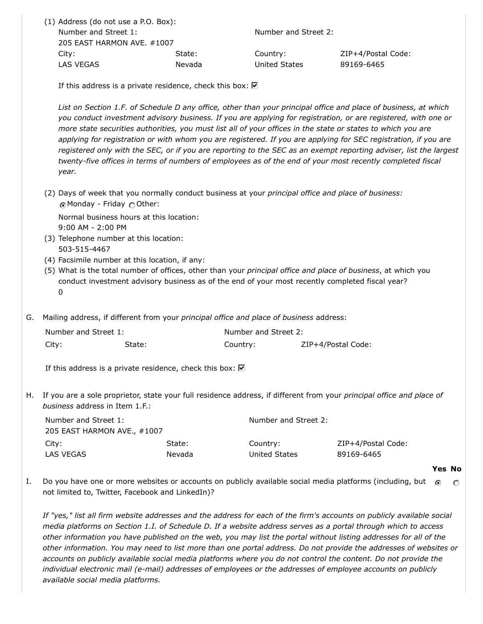| (1) Address (do not use a P.O. Box): |        |                      |                    |
|--------------------------------------|--------|----------------------|--------------------|
| Number and Street 1:                 |        | Number and Street 2: |                    |
| 205 EAST HARMON AVE, #1007           |        |                      |                    |
| City:                                | State: | Country:             | ZIP+4/Postal Code: |
| LAS VEGAS                            | Nevada | United States        | 89169-6465         |
|                                      |        |                      |                    |

If this address is a private residence, check this box:  $\nabla$ 

*List on Section 1.F. of Schedule D any office, other than your principal office and place of business, at which you conduct investment advisory business. If you are applying for registration, or are registered, with one or more state securities authorities, you must list all of your offices in the state or states to which you are applying for registration or with whom you are registered. If you are applying for SEC registration, if you are registered only with the SEC, or if you are reporting to the SEC as an exempt reporting adviser, list the largest twenty-five offices in terms of numbers of employees as of the end of your most recently completed fiscal year.*

(2) Days of week that you normally conduct business at your *principal office and place of business:* Monday - Friday Other:

Normal business hours at this location: 9:00 AM - 2:00 PM

- (3) Telephone number at this location: 503-515-4467
- (4) Facsimile number at this location, if any:
- (5) What is the total number of offices, other than your *principal office and place of business*, at which you conduct investment advisory business as of the end of your most recently completed fiscal year? 0
- G. Mailing address, if different from your *principal office and place of business* address:

| Number and Street 1: |        | Number and Street 2: |                    |  |
|----------------------|--------|----------------------|--------------------|--|
| City:                | State: | Country:             | ZIP+4/Postal Code: |  |

If this address is a private residence, check this box:  $\blacksquare$ 

H. If you are a sole proprietor, state your full residence address, if different from your *principal office and place of business* address in Item 1.F.:

| Number and Street 1:        |        | Number and Street 2: |                    |  |
|-----------------------------|--------|----------------------|--------------------|--|
| 205 EAST HARMON AVE., #1007 |        |                      |                    |  |
| City:                       | State: | Country:             | ZIP+4/Postal Code: |  |
| LAS VEGAS                   | Nevada | United States        | 89169-6465         |  |

#### **Yes No**

I. Do you have one or more websites or accounts on publicly available social media platforms (including, but  $\odot$  $\circ$ not limited to, Twitter, Facebook and LinkedIn)?

*If "yes," list all firm website addresses and the address for each of the firm's accounts on publicly available social media platforms on Section 1.I. of Schedule D. If a website address serves as a portal through which to access other information you have published on the web, you may list the portal without listing addresses for all of the other information. You may need to list more than one portal address. Do not provide the addresses of websites or accounts on publicly available social media platforms where you do not control the content. Do not provide the individual electronic mail (e-mail) addresses of employees or the addresses of employee accounts on publicly available social media platforms.*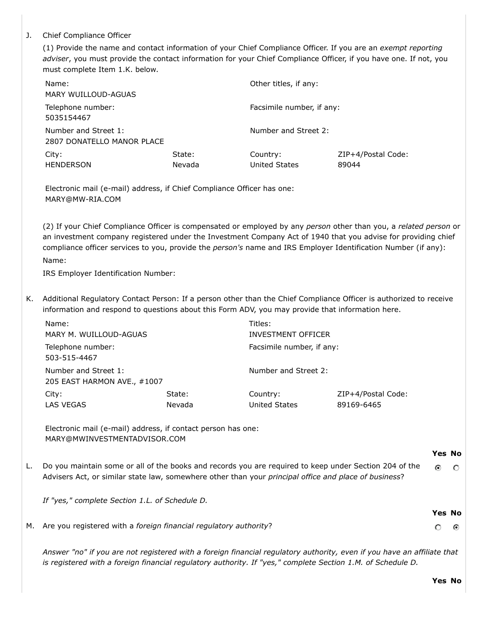## J. Chief Compliance Officer

(1) Provide the name and contact information of your Chief Compliance Officer. If you are an *exempt reporting adviser*, you must provide the contact information for your Chief Compliance Officer, if you have one. If not, you must complete Item 1.K. below.

| Name:<br>MARY WUILLOUD-AGUAS                       |                  | Other titles, if any:     |                             |
|----------------------------------------------------|------------------|---------------------------|-----------------------------|
| Telephone number:<br>5035154467                    |                  | Facsimile number, if any: |                             |
| Number and Street 1:<br>2807 DONATELLO MANOR PLACE |                  | Number and Street 2:      |                             |
| City:<br><b>HENDERSON</b>                          | State:<br>Nevada | Country:<br>United States | ZIP+4/Postal Code:<br>89044 |

Electronic mail (e-mail) address, if Chief Compliance Officer has one: MARY@MW-RIA.COM

(2) If your Chief Compliance Officer is compensated or employed by any *person* other than you, a *related person* or an investment company registered under the Investment Company Act of 1940 that you advise for providing chief compliance officer services to you, provide the *person's* name and IRS Employer Identification Number (if any): Name:

IRS Employer Identification Number:

K. Additional Regulatory Contact Person: If a person other than the Chief Compliance Officer is authorized to receive information and respond to questions about this Form ADV, you may provide that information here.

| Name:                                               |        | Titles:                   |                    |
|-----------------------------------------------------|--------|---------------------------|--------------------|
| MARY M. WUILLOUD-AGUAS                              |        | <b>INVESTMENT OFFICER</b> |                    |
| Telephone number:<br>503-515-4467                   |        | Facsimile number, if any: |                    |
| Number and Street 1:<br>205 EAST HARMON AVE., #1007 |        | Number and Street 2:      |                    |
| City:                                               | State: | Country:                  | ZIP+4/Postal Code: |
| LAS VEGAS                                           | Nevada | United States             | 89169-6465         |

Electronic mail (e-mail) address, if contact person has one: MARY@MWINVESTMENTADVISOR.COM

#### **Yes No**

 $\circ$ 

 $\odot$ 

 $\Omega$ 

**Yes No**

 $\circ$ 

L. Do you maintain some or all of the books and records you are required to keep under Section 204 of the Advisers Act, or similar state law, somewhere other than your *principal office and place of business*?

*If "yes," complete Section 1.L. of Schedule D.*

M. Are you registered with a *foreign financial regulatory authority*?

*Answer "no" if you are not registered with a foreign financial regulatory authority, even if you have an affiliate that is registered with a foreign financial regulatory authority. If "yes," complete Section 1.M. of Schedule D.*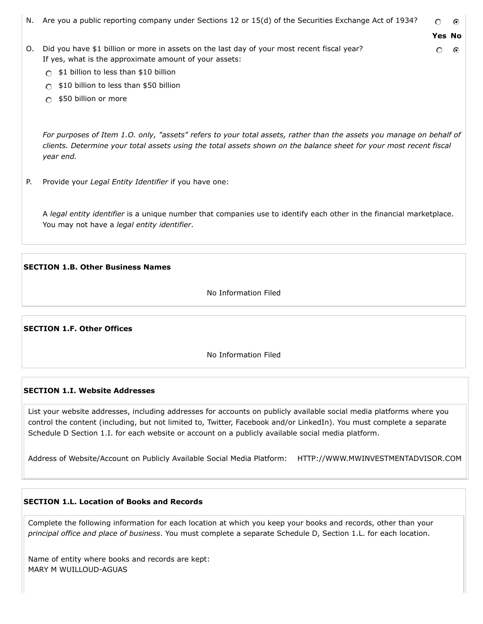N. Are you a public reporting company under Sections 12 or 15(d) of the Securities Exchange Act of 1934? o ⊙ **Yes No** O. Did you have \$1 billion or more in assets on the last day of your most recent fiscal year? െ ര If yes, what is the approximate amount of your assets:

- $\cap$  \$1 billion to less than \$10 billion
- $\bigcirc$  \$10 billion to less than \$50 billion
- \$50 billion or more

*For purposes of Item 1.O. only, "assets" refers to your total assets, rather than the assets you manage on behalf of clients. Determine your total assets using the total assets shown on the balance sheet for your most recent fiscal year end.*

P. Provide your *Legal Entity Identifier* if you have one:

A *legal entity identifier* is a unique number that companies use to identify each other in the financial marketplace. You may not have a *legal entity identifier*.

## **SECTION 1.B. Other Business Names**

No Information Filed

**SECTION 1.F. Other Offices**

No Information Filed

## **SECTION 1.I. Website Addresses**

List your website addresses, including addresses for accounts on publicly available social media platforms where you control the content (including, but not limited to, Twitter, Facebook and/or LinkedIn). You must complete a separate Schedule D Section 1.I. for each website or account on a publicly available social media platform.

Address of Website/Account on Publicly Available Social Media Platform: HTTP://WWW.MWINVESTMENTADVISOR.COM

## **SECTION 1.L. Location of Books and Records**

Complete the following information for each location at which you keep your books and records, other than your *principal office and place of business*. You must complete a separate Schedule D, Section 1.L. for each location.

Name of entity where books and records are kept: MARY M WUILLOUD-AGUAS